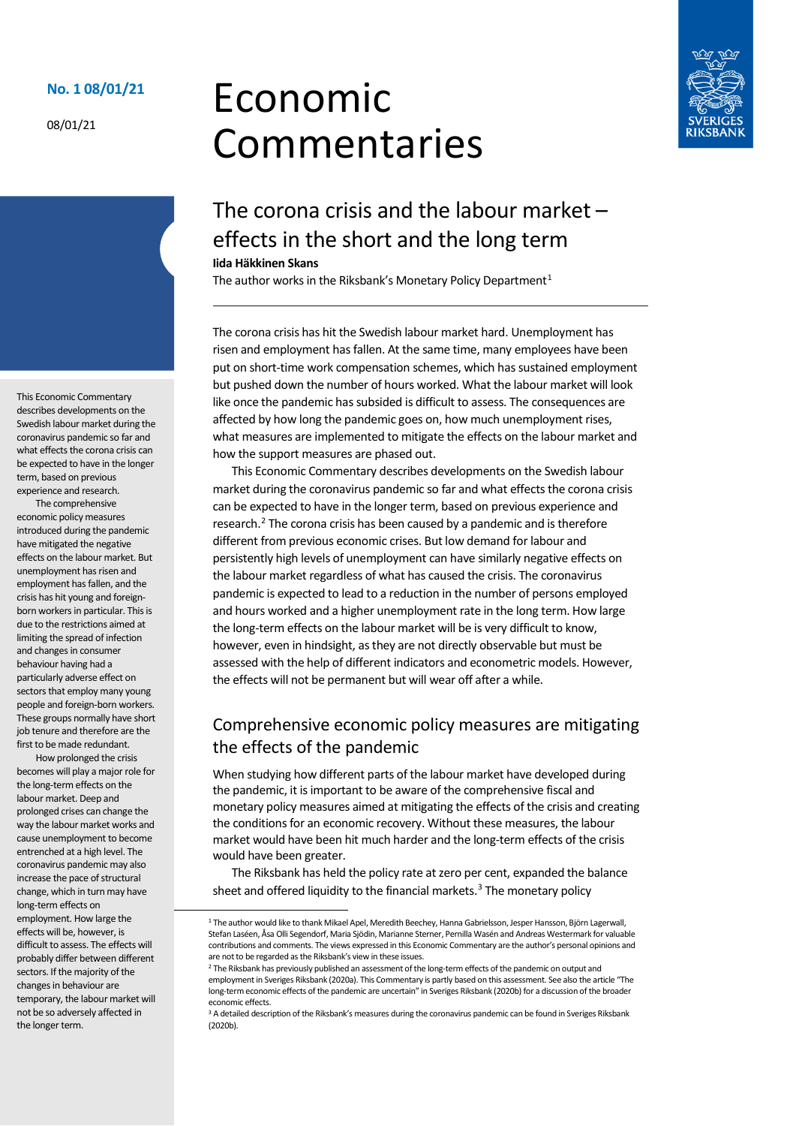#### **No. 1 08/01/21**

08/01/21

# Economic Commentaries



# The corona crisis and the labour market – effects in the short and the long term

#### **Iida Häkkinen Skans**

The author works in the Riksbank's Monetary Policy Department<sup>[1](#page-0-0)</sup>

The corona crisis has hit the Swedish labour market hard. Unemployment has risen and employment has fallen. At the same time, many employees have been put on short-time work compensation schemes, which has sustained employment but pushed down the number of hours worked. What the labour market will look like once the pandemic has subsided is difficult to assess. The consequences are affected by how long the pandemic goes on, how much unemployment rises, what measures are implemented to mitigate the effects on the labour market and how the support measures are phased out.

This Economic Commentary describes developments on the Swedish labour market during the coronavirus pandemic so far and what effects the corona crisis can be expected to have in the longer term, based on previous experience and research.<sup>[2](#page-0-1)</sup> The corona crisis has been caused by a pandemic and is therefore different from previous economic crises. But low demand for labour and persistently high levels of unemployment can have similarly negative effects on the labour market regardless of what has caused the crisis. The coronavirus pandemic is expected to lead to a reduction in the number of persons employed and hours worked and a higher unemployment rate in the long term. How large the long-term effects on the labour market will be is very difficult to know, however, even in hindsight, as they are not directly observable but must be assessed with the help of different indicators and econometric models. However, the effects will not be permanent but will wear off after a while.

# Comprehensive economic policy measures are mitigating the effects of the pandemic

When studying how different parts of the labour market have developed during the pandemic, it is important to be aware of the comprehensive fiscal and monetary policy measures aimed at mitigating the effects of the crisis and creating the conditions for an economic recovery. Without these measures, the labour market would have been hit much harder and the long-term effects of the crisis would have been greater.

The Riksbank has held the policy rate at zero per cent, expanded the balance sheet and offered liquidity to the financial markets.<sup>[3](#page-0-2)</sup> The monetary policy

This Economic Commentary describes developments on the Swedish labour market during the coronavirus pandemic so far and what effects the corona crisis can be expected to have in the longer term, based on previous experience and research.

The comprehensive economic policy measures introduced during the pandemic have mitigated the negative effects on the labour market. But unemployment has risen and employment has fallen, and the crisis has hit young and foreignborn workers in particular. This is due to the restrictions aimed at limiting the spread of infection and changes in consumer behaviour having had a particularly adverse effect on sectors that employ many young people and foreign-born workers. These groups normally have short job tenure and therefore are the first to be made redundant.

<span id="page-0-0"></span>How prolonged the crisis becomes will play a major role for the long-term effects on the labour market. Deep and prolonged crises can change the way the labour market works and cause unemployment to become entrenched at a high level. The coronavirus pandemic may also increase the pace of structural change, which in turn may have long-term effects on employment. How large the effects will be, however, is difficult to assess. The effects will probably differ between different sectors. If the majority of the changes in behaviour are temporary, the labour market will not be so adversely affected in the longer term.

 <sup>1</sup> The author would like to thank Mikael Apel, Meredith Beechey, Hanna Gabrielsson, Jesper Hansson, Björn Lagerwall, Stefan Laséen, Åsa Olli Segendorf, Maria Sjödin, Marianne Sterner, Pernilla Wasén and Andreas Westermark for valuable contributions and comments. The views expressed in this Economic Commentary are the author's personal opinions and are not to be regarded as the Riksbank's view in these issues.

<span id="page-0-1"></span><sup>&</sup>lt;sup>2</sup> The Riksbank has previously published an assessment of the long-term effects of the pandemic on output and employment in Sveriges Riksbank (2020a). This Commentary is partly based on this assessment. See also the article "The long-term economic effects of the pandemic are uncertain" in Sveriges Riksbank (2020b) for a discussion of the broader economic effects.

<span id="page-0-2"></span><sup>&</sup>lt;sup>3</sup> A detailed description of the Riksbank's measures during the coronavirus pandemic can be found in Sveriges Riksbank (2020b).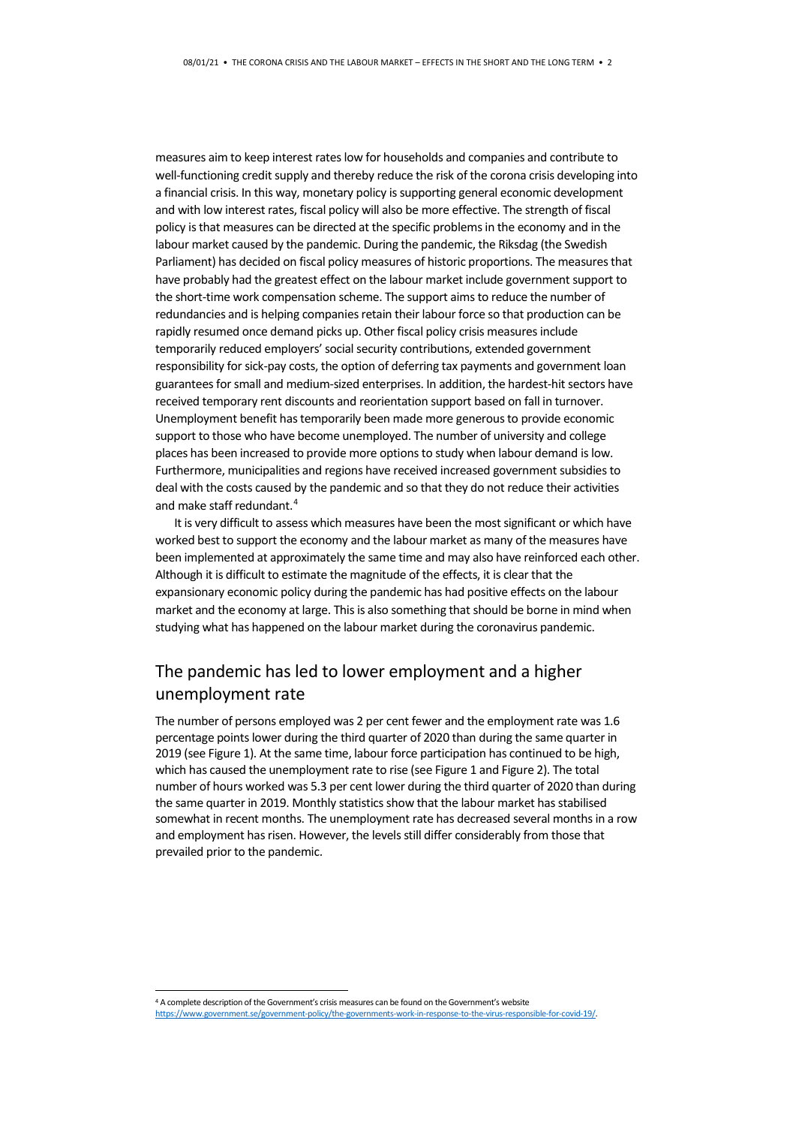measures aim to keep interest rates low for households and companies and contribute to well-functioning credit supply and thereby reduce the risk of the corona crisis developing into a financial crisis. In this way, monetary policy is supporting general economic development and with low interest rates, fiscal policy will also be more effective. The strength of fiscal policy is that measures can be directed at the specific problems in the economy and in the labour market caused by the pandemic. During the pandemic, the Riksdag (the Swedish Parliament) has decided on fiscal policy measures of historic proportions. The measures that have probably had the greatest effect on the labour market include government support to the short-time work compensation scheme. The support aims to reduce the number of redundancies and is helping companies retain their labour force so that production can be rapidly resumed once demand picks up. Other fiscal policy crisis measures include temporarily reduced employers' social security contributions, extended government responsibility for sick-pay costs, the option of deferring tax payments and government loan guarantees for small and medium-sized enterprises. In addition, the hardest-hit sectors have received temporary rent discounts and reorientation support based on fall in turnover. Unemployment benefit has temporarily been made more generous to provide economic support to those who have become unemployed. The number of university and college places has been increased to provide more options to study when labour demand is low. Furthermore, municipalities and regions have received increased government subsidies to deal with the costs caused by the pandemic and so that they do not reduce their activities and make staff redundant.[4](#page-1-0)

It is very difficult to assess which measures have been the most significant or which have worked best to support the economy and the labour market as many of the measures have been implemented at approximately the same time and may also have reinforced each other. Although it is difficult to estimate the magnitude of the effects, it is clear that the expansionary economic policy during the pandemic has had positive effects on the labour market and the economy at large. This is also something that should be borne in mind when studying what has happened on the labour market during the coronavirus pandemic.

# The pandemic has led to lower employment and a higher unemployment rate

The number of persons employed was 2 per cent fewer and the employment rate was 1.6 percentage points lower during the third quarter of 2020 than during the same quarter in 2019 (see Figure 1). At the same time, labour force participation has continued to be high, which has caused the unemployment rate to rise (see Figure 1 and Figure 2). The total number of hours worked was 5.3 per cent lower during the third quarter of 2020 than during the same quarter in 2019. Monthly statistics show that the labour market has stabilised somewhat in recent months. The unemployment rate has decreased several months in a row and employment has risen. However, the levels still differ considerably from those that prevailed prior to the pandemic.

<span id="page-1-0"></span> <sup>4</sup> A complete description of the Government's crisis measures can be found on the Government's website [https://www.government.se/government-policy/the-governments-work-in-response-to-the-virus-responsible-for-covid-19/.](https://www.government.se/government-policy/the-governments-work-in-response-to-the-virus-responsible-for-covid-19/)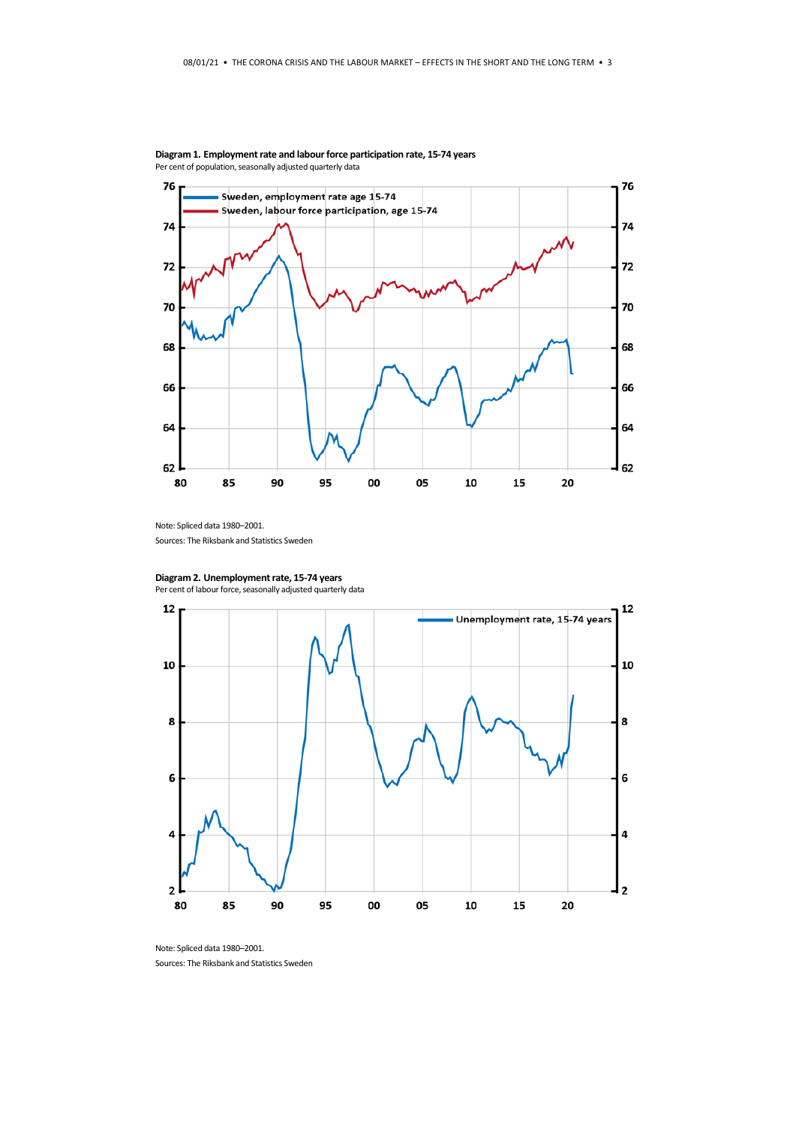

**Diagram 1. Employment rate and labour force participation rate, 15-74 years** Per cent of population, seasonally adjusted quarterly data

Note: Spliced data 1980–2001.

Sources: The Riksbank and Statistics Sweden



Per cent of labour force, seasonally adjusted quarterly data



Note: Spliced data 1980–2001. Sources: The Riksbank and Statistics Sweden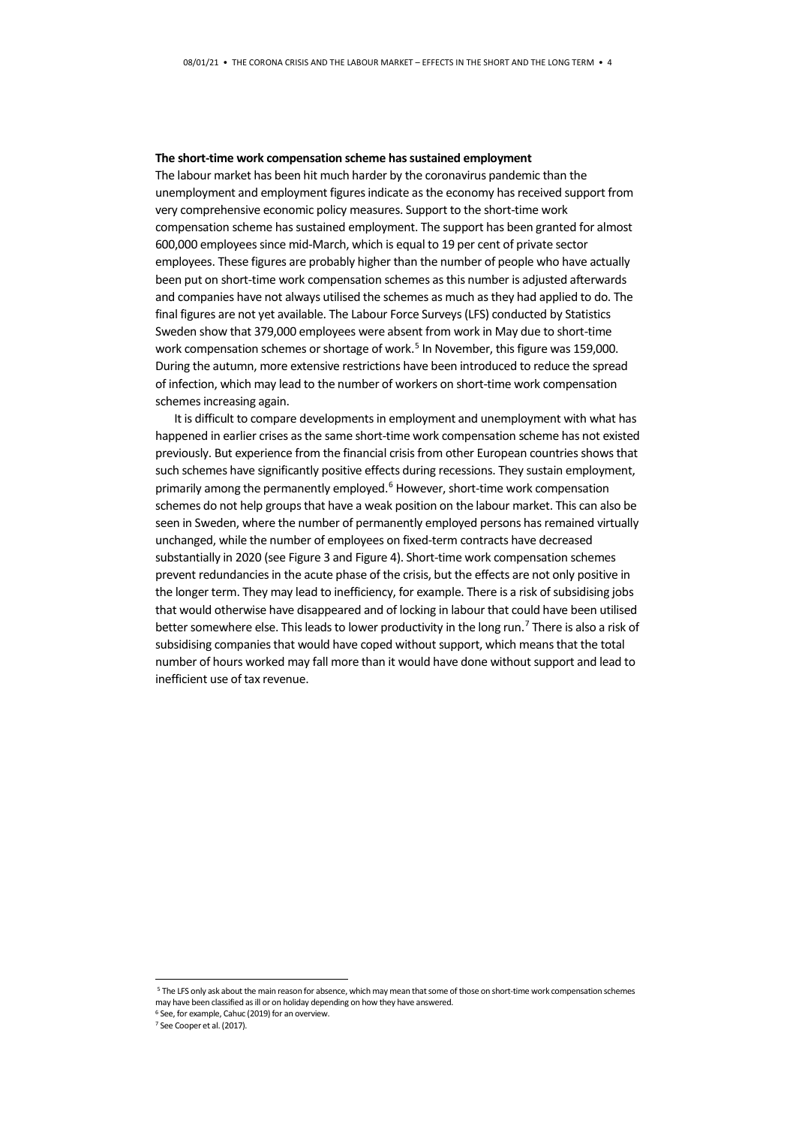#### **The short-time work compensation scheme has sustained employment**

The labour market has been hit much harder by the coronavirus pandemic than the unemployment and employment figures indicate as the economy has received support from very comprehensive economic policy measures. Support to the short-time work compensation scheme has sustained employment. The support has been granted for almost 600,000 employees since mid-March, which is equal to 19 per cent of private sector employees. These figures are probably higher than the number of people who have actually been put on short-time work compensation schemes as this number is adjusted afterwards and companies have not always utilised the schemes as much as they had applied to do. The final figures are not yet available. The Labour Force Surveys (LFS) conducted by Statistics Sweden show that 379,000 employees were absent from work in May due to short-time work compensation schemes or shortage of work. [5](#page-3-0) In November, this figure was 159,000. During the autumn, more extensive restrictions have been introduced to reduce the spread of infection, which may lead to the number of workers on short-time work compensation schemes increasing again.

It is difficult to compare developments in employment and unemployment with what has happened in earlier crises as the same short-time work compensation scheme has not existed previously. But experience from the financial crisis from other European countries shows that such schemes have significantly positive effects during recessions. They sustain employment, primarily among the permanently employed.<sup>[6](#page-3-1)</sup> However, short-time work compensation schemes do not help groups that have a weak position on the labour market. This can also be seen in Sweden, where the number of permanently employed persons has remained virtually unchanged, while the number of employees on fixed-term contracts have decreased substantially in 2020 (see Figure 3 and Figure 4). Short-time work compensation schemes prevent redundancies in the acute phase of the crisis, but the effects are not only positive in the longer term. They may lead to inefficiency, for example. There is a risk of subsidising jobs that would otherwise have disappeared and of locking in labour that could have been utilised better somewhere else. This leads to lower productivity in the long run.<sup>[7](#page-3-2)</sup> There is also a risk of subsidising companies that would have coped without support, which means that the total number of hours worked may fall more than it would have done without support and lead to inefficient use of tax revenue.

<span id="page-3-0"></span> <sup>5</sup> The LFS only ask about the main reason for absence, which may mean that some of those on short-time work compensation schemes may have been classified as ill or on holiday depending on how they have answered.

<sup>6</sup> See, for example, Cahuc (2019) for an overview.

<span id="page-3-2"></span><span id="page-3-1"></span><sup>7</sup> See Cooper et al. (2017).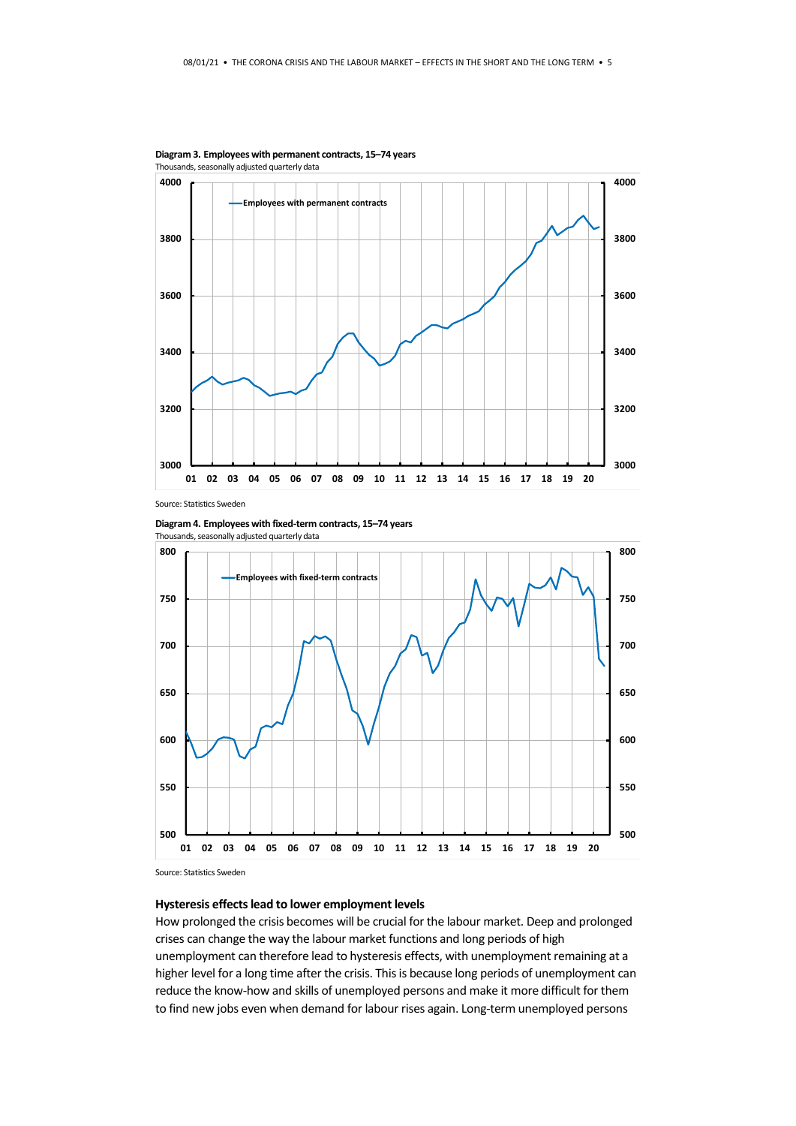

**Diagram 3. Employees with permanent contracts, 15–74 years** Thousands, seasonally adjusted quarterly data

Source: Statistics Sweden

**Diagram 4. Employees with fixed-term contracts, 15–74 years** Thousands, seasonally adjusted quarterly data



Source: Statistics Sweden

#### **Hysteresis effects lead to lower employment levels**

How prolonged the crisis becomes will be crucial for the labour market. Deep and prolonged crises can change the way the labour market functions and long periods of high unemployment can therefore lead to hysteresis effects, with unemployment remaining at a higher level for a long time after the crisis. This is because long periods of unemployment can reduce the know-how and skills of unemployed persons and make it more difficult for them to find new jobs even when demand for labour rises again. Long-term unemployed persons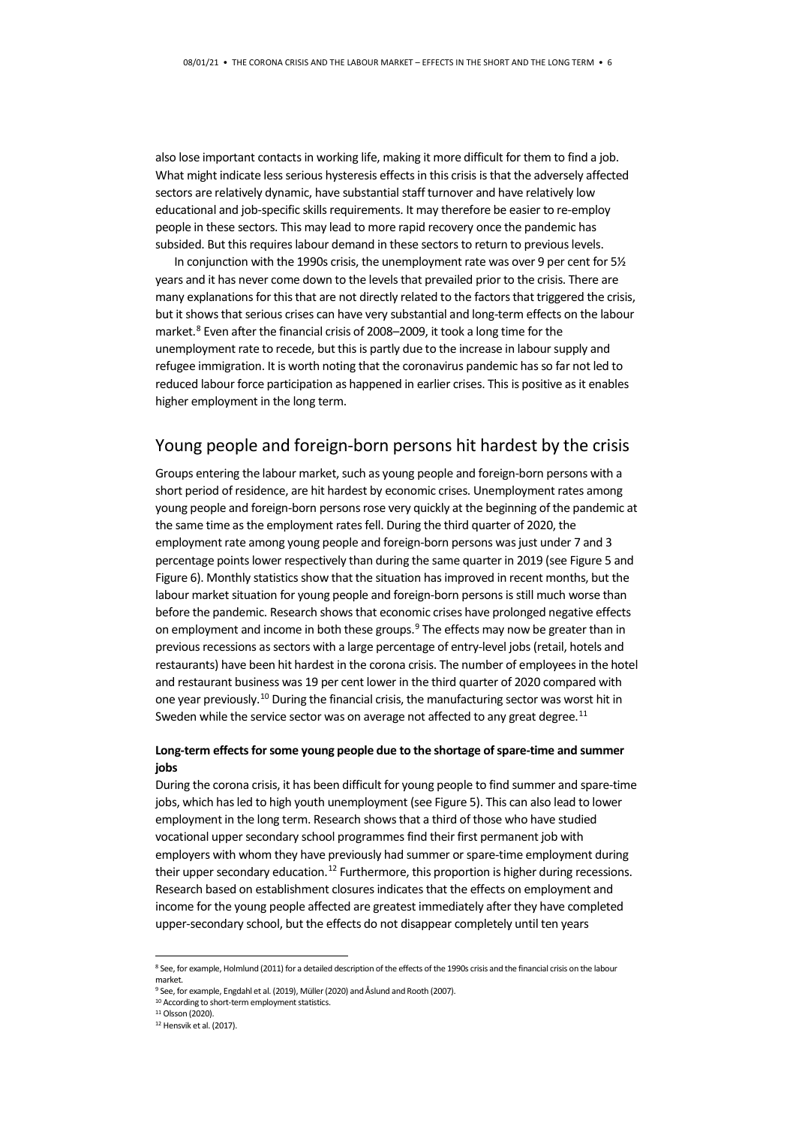also lose important contacts in working life, making it more difficult for them to find a job. What might indicate less serious hysteresis effects in this crisis is that the adversely affected sectors are relatively dynamic, have substantial staff turnover and have relatively low educational and job-specific skills requirements. It may therefore be easier to re-employ people in these sectors. This may lead to more rapid recovery once the pandemic has subsided. But this requires labour demand in these sectors to return to previous levels.

In conjunction with the 1990s crisis, the unemployment rate was over 9 per cent for 5½ years and it has never come down to the levels that prevailed prior to the crisis. There are many explanations for this that are not directly related to the factors that triggered the crisis, but it shows that serious crises can have very substantial and long-term effects on the labour market.<sup>[8](#page-5-0)</sup> Even after the financial crisis of 2008–2009, it took a long time for the unemployment rate to recede, but this is partly due to the increase in labour supply and refugee immigration. It is worth noting that the coronavirus pandemic has so far not led to reduced labour force participation as happened in earlier crises. This is positive as it enables higher employment in the long term.

### Young people and foreign-born persons hit hardest by the crisis

Groups entering the labour market, such as young people and foreign-born persons with a short period of residence, are hit hardest by economic crises. Unemployment rates among young people and foreign-born persons rose very quickly at the beginning of the pandemic at the same time as the employment rates fell. During the third quarter of 2020, the employment rate among young people and foreign-born persons was just under 7 and 3 percentage points lower respectively than during the same quarter in 2019 (see Figure 5 and Figure 6). Monthly statistics show that the situation has improved in recent months, but the labour market situation for young people and foreign-born persons is still much worse than before the pandemic. Research shows that economic crises have prolonged negative effects on employment and income in both these groups. $9$  The effects may now be greater than in previous recessions as sectors with a large percentage of entry-level jobs (retail, hotels and restaurants) have been hit hardest in the corona crisis. The number of employees in the hotel and restaurant business was 19 per cent lower in the third quarter of 2020 compared with one year previously.[10](#page-5-2) During the financial crisis, the manufacturing sector was worst hit in Sweden while the service sector was on average not affected to any great degree.<sup>[11](#page-5-3)</sup>

#### **Long-term effects for some young people due to the shortage of spare-time and summer jobs**

During the corona crisis, it has been difficult for young people to find summer and spare-time jobs, which has led to high youth unemployment (see Figure 5). This can also lead to lower employment in the long term. Research shows that a third of those who have studied vocational upper secondary school programmes find their first permanent job with employers with whom they have previously had summer or spare-time employment during their upper secondary education.<sup>[12](#page-5-4)</sup> Furthermore, this proportion is higher during recessions. Research based on establishment closures indicates that the effects on employment and income for the young people affected are greatest immediately after they have completed upper-secondary school, but the effects do not disappear completely until ten years

<span id="page-5-0"></span><sup>8</sup> See, for example, Holmlund (2011) for a detailed description of the effects of the 1990s crisis and the financial crisis on the labour market.

<span id="page-5-1"></span><sup>9</sup> See, for example, Engdahl et al. (2019), Müller (2020) and Åslund and Rooth (2007).

<sup>10</sup> According to short-term employment statistics.

<span id="page-5-3"></span><span id="page-5-2"></span><sup>11</sup> Olsson (2020).

<span id="page-5-4"></span><sup>&</sup>lt;sup>12</sup> Hensvik et al. (2017).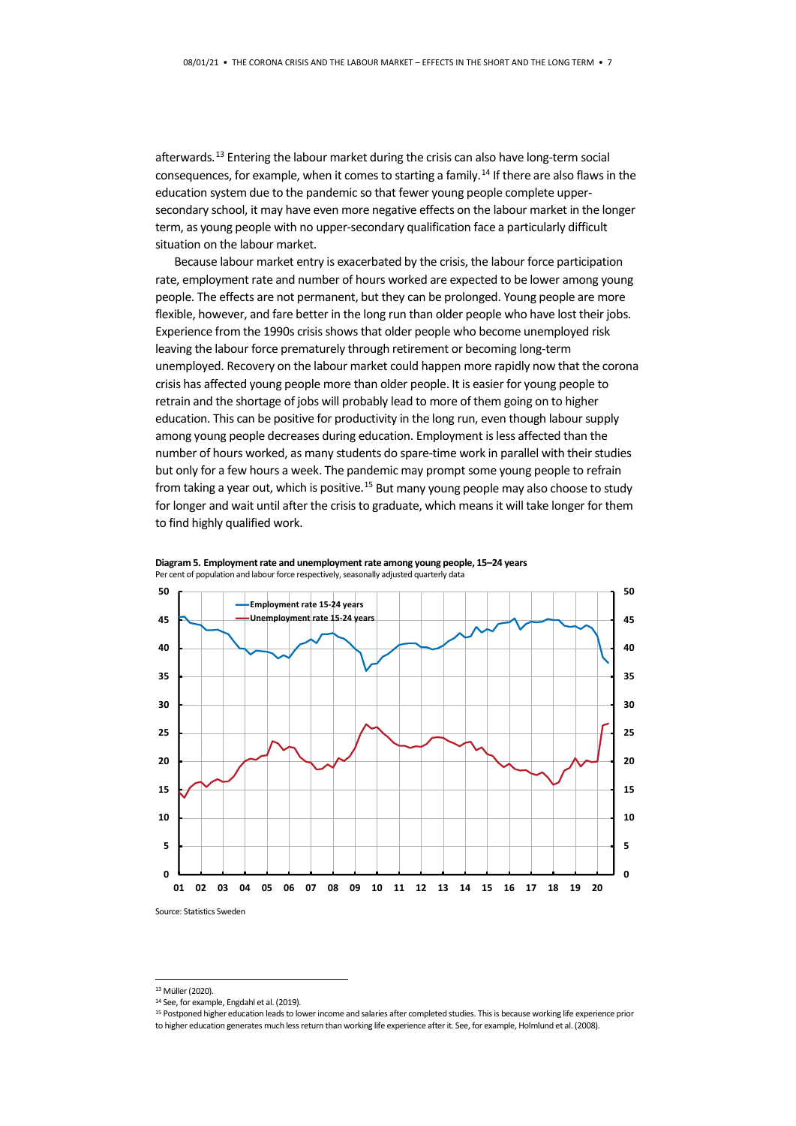afterwards.<sup>[13](#page-6-0)</sup> Entering the labour market during the crisis can also have long-term social consequences, for example, when it comes to starting a family.<sup>[14](#page-6-1)</sup> If there are also flaws in the education system due to the pandemic so that fewer young people complete uppersecondary school, it may have even more negative effects on the labour market in the longer term, as young people with no upper-secondary qualification face a particularly difficult situation on the labour market.

Because labour market entry is exacerbated by the crisis, the labour force participation rate, employment rate and number of hours worked are expected to be lower among young people. The effects are not permanent, but they can be prolonged. Young people are more flexible, however, and fare better in the long run than older people who have lost their jobs. Experience from the 1990s crisis shows that older people who become unemployed risk leaving the labour force prematurely through retirement or becoming long-term unemployed. Recovery on the labour market could happen more rapidly now that the corona crisis has affected young people more than older people. It is easier for young people to retrain and the shortage of jobs will probably lead to more of them going on to higher education. This can be positive for productivity in the long run, even though labour supply among young people decreases during education. Employment is less affected than the number of hours worked, as many students do spare-time work in parallel with their studies but only for a few hours a week. The pandemic may prompt some young people to refrain from taking a year out, which is positive.<sup>[15](#page-6-2)</sup> But many young people may also choose to study for longer and wait until after the crisis to graduate, which means it will take longer for them to find highly qualified work.





 <sup>13</sup> Müller (2020).

<span id="page-6-1"></span><span id="page-6-0"></span><sup>14</sup> See, for example, Engdahl et al. (2019).

<span id="page-6-2"></span><sup>&</sup>lt;sup>15</sup> Postponed higher education leads to lower income and salaries after completed studies. This is because working life experience prior to higher education generates much less return than working life experience after it. See, for example, Holmlund et al. (2008).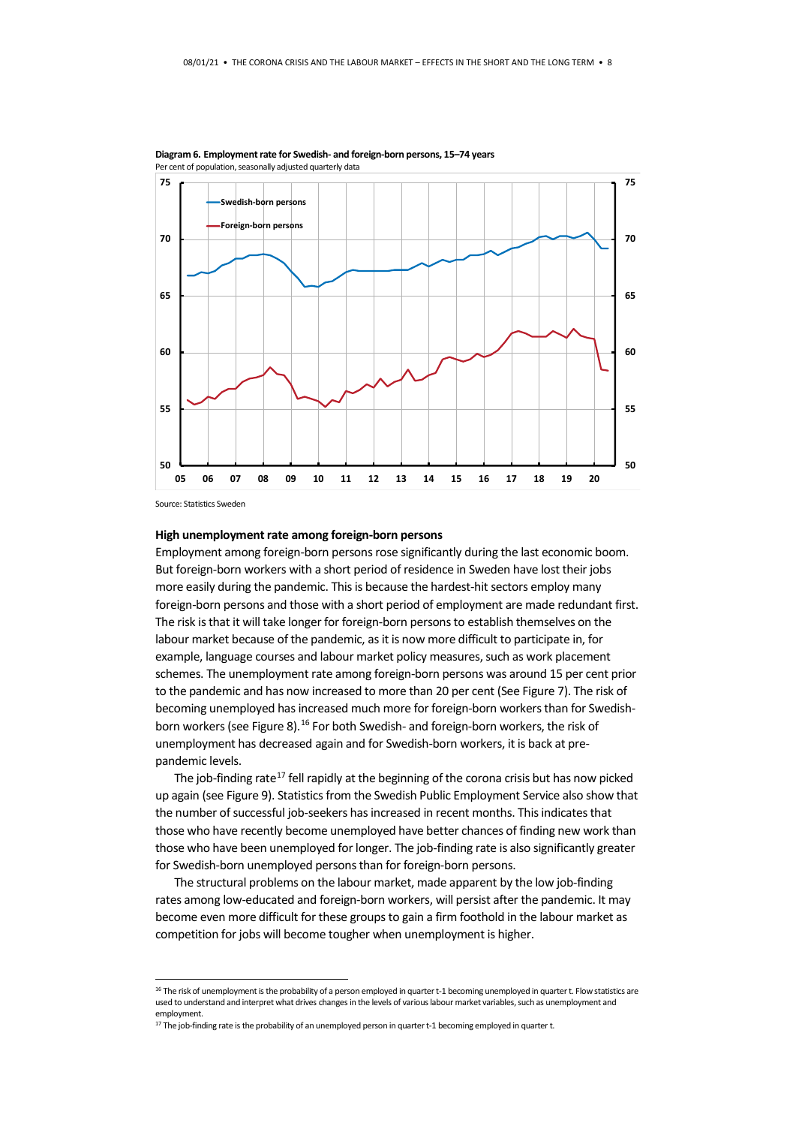

**Diagram 6. Employment rate for Swedish- and foreign-born persons, 15–74 years** Per cent of population, seasonally adjusted quarterly data

Source: Statistics Sweden

#### **High unemployment rate among foreign-born persons**

Employment among foreign-born persons rose significantly during the last economic boom. But foreign-born workers with a short period of residence in Sweden have lost their jobs more easily during the pandemic. This is because the hardest-hit sectors employ many foreign-born persons and those with a short period of employment are made redundant first. The risk is that it will take longer for foreign-born persons to establish themselves on the labour market because of the pandemic, as it is now more difficult to participate in, for example, language courses and labour market policy measures, such as work placement schemes. The unemployment rate among foreign-born persons was around 15 per cent prior to the pandemic and has now increased to more than 20 per cent (See Figure 7). The risk of becoming unemployed has increased much more for foreign-born workers than for Swedish-born workers (see Figure 8).<sup>[16](#page-7-0)</sup> For both Swedish- and foreign-born workers, the risk of unemployment has decreased again and for Swedish-born workers, it is back at prepandemic levels.

The job-finding rate<sup>[17](#page-7-1)</sup> fell rapidly at the beginning of the corona crisis but has now picked up again (see Figure 9). Statistics from the Swedish Public Employment Service also show that the number of successful job-seekers has increased in recent months. This indicates that those who have recently become unemployed have better chances of finding new work than those who have been unemployed for longer. The job-finding rate is also significantly greater for Swedish-born unemployed persons than for foreign-born persons.

The structural problems on the labour market, made apparent by the low job-finding rates among low-educated and foreign-born workers, will persist after the pandemic. It may become even more difficult for these groups to gain a firm foothold in the labour market as competition for jobs will become tougher when unemployment is higher.

<span id="page-7-0"></span><sup>&</sup>lt;sup>16</sup> The risk of unemployment is the probability of a person employed in quarter t-1 becoming unemployed in quarter t. Flow statistics are used to understand and interpret what drives changes in the levels of various labour market variables, such as unemployment and employment.

<span id="page-7-1"></span> $17$  The job-finding rate is the probability of an unemployed person in quarter t-1 becoming employed in quarter t.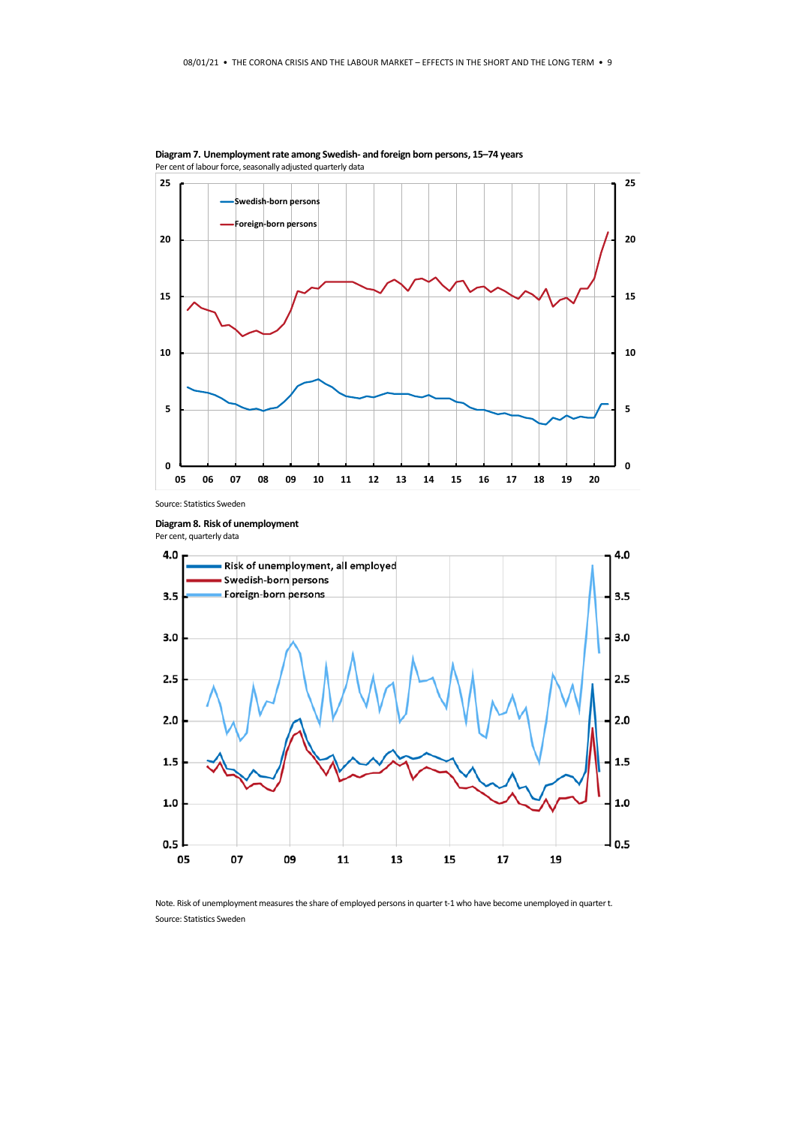

**Diagram 7. Unemployment rate among Swedish- and foreign born persons, 15–74 years** Per cent of labour force, seasonally adjusted quarterly data

Source: Statistics Sweden





Note. Risk of unemployment measures the share of employed persons in quarter t-1 who have become unemployed in quarter t. Source: Statistics Sweden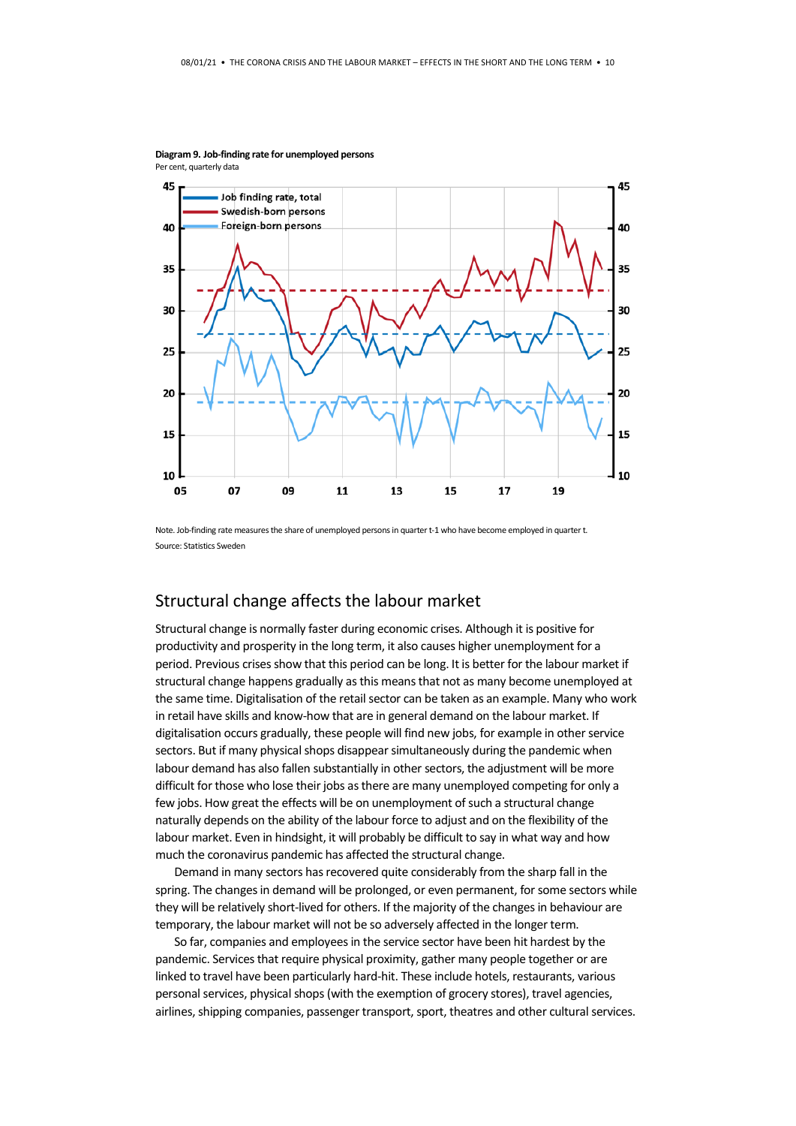

**Diagram 9. Job-finding rate for unemployed persons** Per cent, quarterly data

Note. Job-finding rate measures the share of unemployed persons in quarter t-1 who have become employed in quarter t. Source: Statistics Sweden

### Structural change affects the labour market

Structural change is normally faster during economic crises. Although it is positive for productivity and prosperity in the long term, it also causes higher unemployment for a period. Previous crises show that this period can be long. It is better for the labour market if structural change happens gradually as this means that not as many become unemployed at the same time. Digitalisation of the retail sector can be taken as an example. Many who work in retail have skills and know-how that are in general demand on the labour market. If digitalisation occurs gradually, these people will find new jobs, for example in other service sectors. But if many physical shops disappear simultaneously during the pandemic when labour demand has also fallen substantially in other sectors, the adjustment will be more difficult for those who lose their jobs as there are many unemployed competing for only a few jobs. How great the effects will be on unemployment of such a structural change naturally depends on the ability of the labour force to adjust and on the flexibility of the labour market. Even in hindsight, it will probably be difficult to say in what way and how much the coronavirus pandemic has affected the structural change.

Demand in many sectors has recovered quite considerably from the sharp fall in the spring. The changes in demand will be prolonged, or even permanent, for some sectors while they will be relatively short-lived for others. If the majority of the changes in behaviour are temporary, the labour market will not be so adversely affected in the longer term.

So far, companies and employees in the service sector have been hit hardest by the pandemic. Services that require physical proximity, gather many people together or are linked to travel have been particularly hard-hit. These include hotels, restaurants, various personal services, physical shops (with the exemption of grocery stores), travel agencies, airlines, shipping companies, passenger transport, sport, theatres and other cultural services.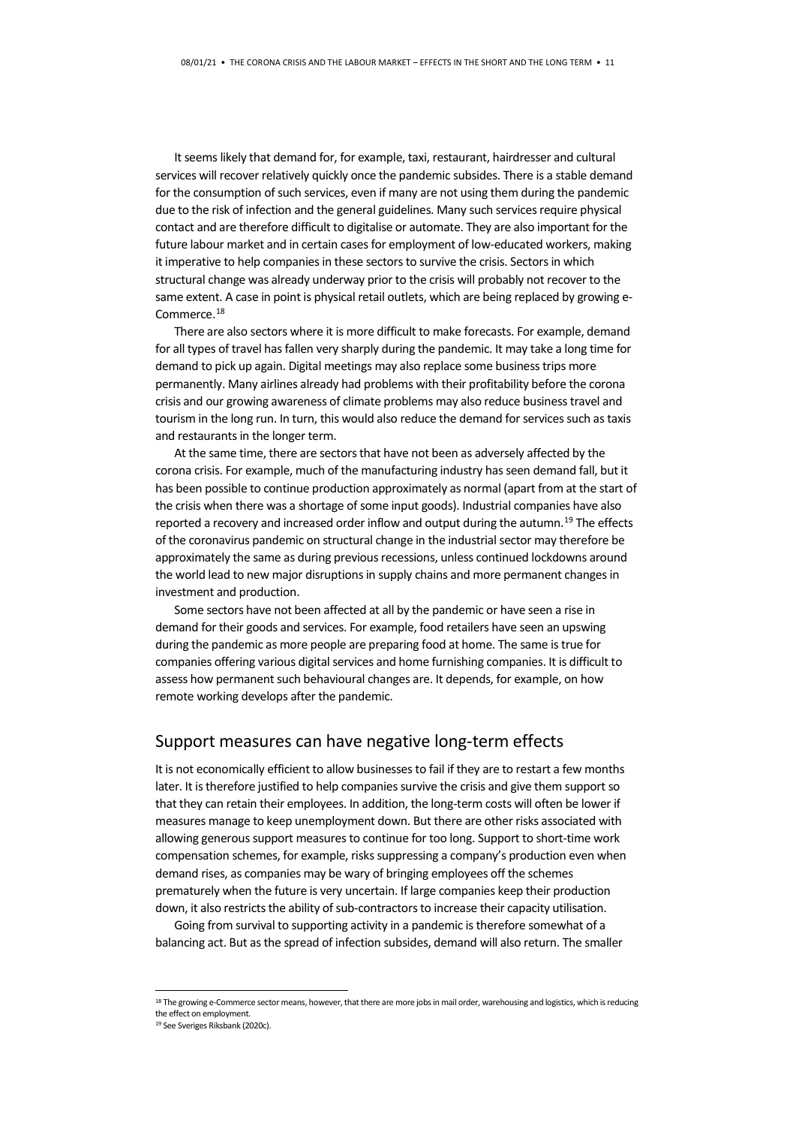It seems likely that demand for, for example, taxi, restaurant, hairdresser and cultural services will recover relatively quickly once the pandemic subsides. There is a stable demand for the consumption of such services, even if many are not using them during the pandemic due to the risk of infection and the general guidelines. Many such services require physical contact and are therefore difficult to digitalise or automate. They are also important for the future labour market and in certain cases for employment of low-educated workers, making it imperative to help companies in these sectors to survive the crisis. Sectors in which structural change was already underway prior to the crisis will probably not recover to the same extent. A case in point is physical retail outlets, which are being replaced by growing e-Commerce.<sup>[18](#page-10-0)</sup>

There are also sectors where it is more difficult to make forecasts. For example, demand for all types of travel has fallen very sharply during the pandemic. It may take a long time for demand to pick up again. Digital meetings may also replace some business trips more permanently. Many airlines already had problems with their profitability before the corona crisis and our growing awareness of climate problems may also reduce business travel and tourism in the long run. In turn, this would also reduce the demand for services such as taxis and restaurants in the longer term.

At the same time, there are sectors that have not been as adversely affected by the corona crisis. For example, much of the manufacturing industry has seen demand fall, but it has been possible to continue production approximately as normal (apart from at the start of the crisis when there was a shortage of some input goods). Industrial companies have also reported a recovery and increased order inflow and output during the autumn.<sup>[19](#page-10-1)</sup> The effects of the coronavirus pandemic on structural change in the industrial sector may therefore be approximately the same as during previous recessions, unless continued lockdowns around the world lead to new major disruptions in supply chains and more permanent changes in investment and production.

Some sectors have not been affected at all by the pandemic or have seen a rise in demand for their goods and services. For example, food retailers have seen an upswing during the pandemic as more people are preparing food at home. The same is true for companies offering various digital services and home furnishing companies. It is difficult to assess how permanent such behavioural changes are. It depends, for example, on how remote working develops after the pandemic.

## Support measures can have negative long-term effects

It is not economically efficient to allow businesses to fail if they are to restart a few months later. It is therefore justified to help companies survive the crisis and give them support so that they can retain their employees. In addition, the long-term costs will often be lower if measures manage to keep unemployment down. But there are other risks associated with allowing generous support measures to continue for too long. Support to short-time work compensation schemes, for example, risks suppressing a company's production even when demand rises, as companies may be wary of bringing employees off the schemes prematurely when the future is very uncertain. If large companies keep their production down, it also restricts the ability of sub-contractors to increase their capacity utilisation.

Going from survival to supporting activity in a pandemic is therefore somewhat of a balancing act. But as the spread of infection subsides, demand will also return. The smaller

<span id="page-10-0"></span><sup>&</sup>lt;sup>18</sup> The growing e-Commerce sector means, however, that there are more jobs in mail order, warehousing and logistics, which is reducing the effect on employment.

<span id="page-10-1"></span><sup>19</sup> See Sveriges Riksbank (2020c).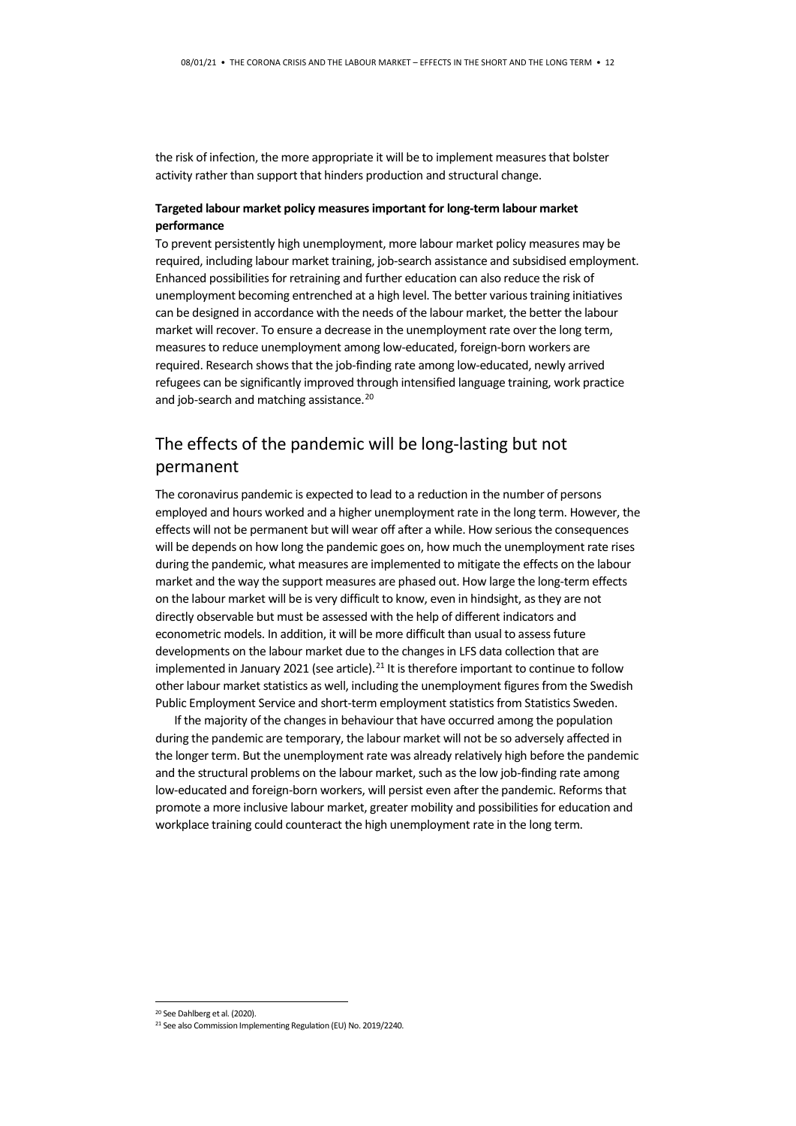the risk of infection, the more appropriate it will be to implement measures that bolster activity rather than support that hinders production and structural change.

#### **Targeted labour market policy measures important for long-term labour market performance**

To prevent persistently high unemployment, more labour market policy measures may be required, including labour market training, job-search assistance and subsidised employment. Enhanced possibilities for retraining and further education can also reduce the risk of unemployment becoming entrenched at a high level. The better various training initiatives can be designed in accordance with the needs of the labour market, the better the labour market will recover. To ensure a decrease in the unemployment rate over the long term, measures to reduce unemployment among low-educated, foreign-born workers are required. Research shows that the job-finding rate among low-educated, newly arrived refugees can be significantly improved through intensified language training, work practice and job-search and matching assistance. [20](#page-11-0)

# The effects of the pandemic will be long-lasting but not permanent

The coronavirus pandemic is expected to lead to a reduction in the number of persons employed and hours worked and a higher unemployment rate in the long term. However, the effects will not be permanent but will wear off after a while. How serious the consequences will be depends on how long the pandemic goes on, how much the unemployment rate rises during the pandemic, what measures are implemented to mitigate the effects on the labour market and the way the support measures are phased out. How large the long-term effects on the labour market will be is very difficult to know, even in hindsight, as they are not directly observable but must be assessed with the help of different indicators and econometric models. In addition, it will be more difficult than usual to assess future developments on the labour market due to the changes in LFS data collection that are implemented in January 20[21](#page-11-1) (see article).<sup>21</sup> It is therefore important to continue to follow other labour market statistics as well, including the unemployment figures from the Swedish Public Employment Service and short-term employment statistics from Statistics Sweden.

If the majority of the changes in behaviour that have occurred among the population during the pandemic are temporary, the labour market will not be so adversely affected in the longer term. But the unemployment rate was already relatively high before the pandemic and the structural problems on the labour market, such as the low job-finding rate among low-educated and foreign-born workers, will persist even after the pandemic. Reforms that promote a more inclusive labour market, greater mobility and possibilities for education and workplace training could counteract the high unemployment rate in the long term.

 <sup>20</sup> See Dahlberg et al. (2020).

<span id="page-11-1"></span><span id="page-11-0"></span><sup>&</sup>lt;sup>21</sup> See also Commission Implementing Regulation (EU) No. 2019/2240.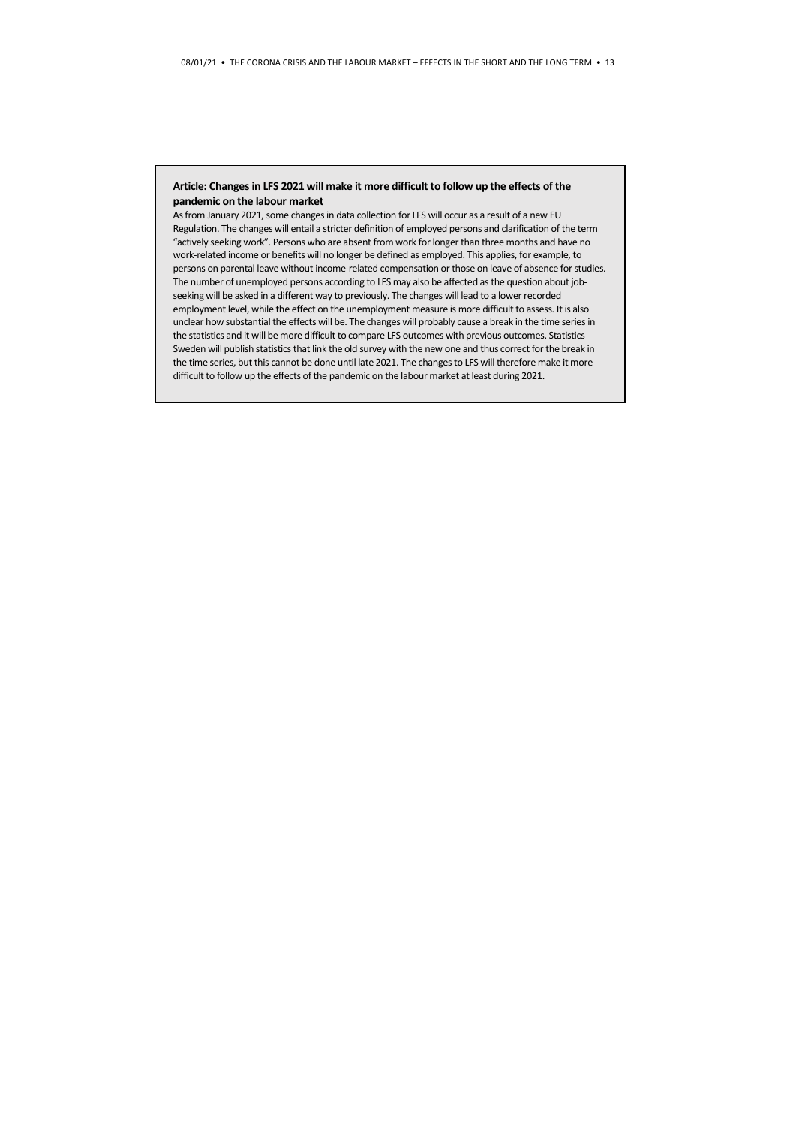#### **Article: Changes in LFS 2021 will make it more difficult to follow up the effects of the pandemic on the labour market**

As from January 2021, some changes in data collection for LFS will occur as a result of a new EU Regulation. The changes will entail a stricter definition of employed persons and clarification of the term "actively seeking work". Persons who are absent from work for longer than three months and have no work-related income or benefits will no longer be defined as employed. This applies, for example, to persons on parental leave without income-related compensation or those on leave of absence for studies. The number of unemployed persons according to LFS may also be affected as the question about jobseeking will be asked in a different way to previously. The changes will lead to a lower recorded employment level, while the effect on the unemployment measure is more difficult to assess. It is also unclear how substantial the effects will be. The changes will probably cause a break in the time series in the statistics and it will be more difficult to compare LFS outcomes with previous outcomes. Statistics Sweden will publish statistics that link the old survey with the new one and thus correct for the break in the time series, but this cannot be done until late 2021. The changes to LFS will therefore make it more difficult to follow up the effects of the pandemic on the labour market at least during 2021.